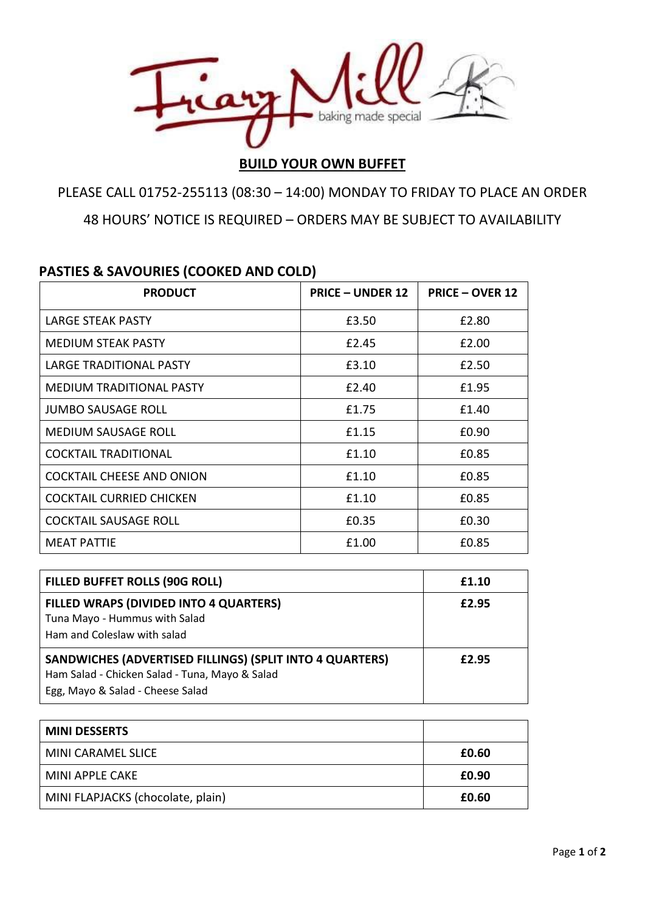

## **BUILD YOUR OWN BUFFET**

PLEASE CALL 01752-255113 (08:30 – 14:00) MONDAY TO FRIDAY TO PLACE AN ORDER 48 HOURS' NOTICE IS REQUIRED – ORDERS MAY BE SUBJECT TO AVAILABILITY

## **PASTIES & SAVOURIES (COOKED AND COLD)**

| <b>PRODUCT</b>                   | <b>PRICE - UNDER 12</b> | <b>PRICE - OVER 12</b> |
|----------------------------------|-------------------------|------------------------|
| <b>LARGE STEAK PASTY</b>         | £3.50                   | £2.80                  |
| <b>MEDIUM STEAK PASTY</b>        | £2.45                   | £2.00                  |
| LARGE TRADITIONAL PASTY          | £3.10                   | £2.50                  |
| MEDIUM TRADITIONAL PASTY         | £2.40                   | £1.95                  |
| JUMBO SAUSAGE ROLL               | £1.75                   | £1.40                  |
| MEDIUM SAUSAGE ROLL              | £1.15                   | £0.90                  |
| COCKTAIL TRADITIONAL             | £1.10                   | £0.85                  |
| <b>COCKTAIL CHEESE AND ONION</b> | £1.10                   | £0.85                  |
| COCKTAIL CURRIED CHICKEN         | f1.10                   | £0.85                  |
| <b>COCKTAIL SAUSAGE ROLL</b>     | £0.35                   | £0.30                  |
| <b>MEAT PATTIE</b>               | £1.00                   | £0.85                  |

| FILLED BUFFET ROLLS (90G ROLL)                                                                                                                 | £1.10 |
|------------------------------------------------------------------------------------------------------------------------------------------------|-------|
| FILLED WRAPS (DIVIDED INTO 4 QUARTERS)<br>Tuna Mayo - Hummus with Salad<br>Ham and Coleslaw with salad                                         | £2.95 |
| SANDWICHES (ADVERTISED FILLINGS) (SPLIT INTO 4 QUARTERS)<br>Ham Salad - Chicken Salad - Tuna, Mayo & Salad<br>Egg, Mayo & Salad - Cheese Salad | £2.95 |

| <b>MINI DESSERTS</b>              |       |
|-----------------------------------|-------|
| MINI CARAMEL SLICE                | £0.60 |
| MINI APPLE CAKE                   | £0.90 |
| MINI FLAPJACKS (chocolate, plain) | £0.60 |